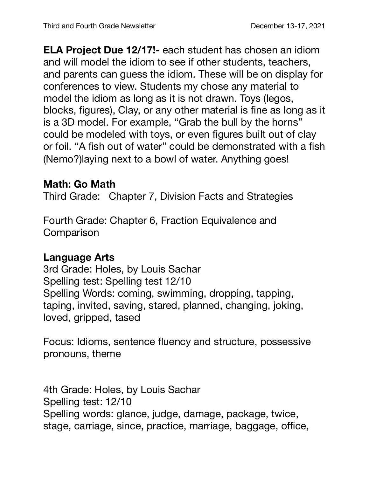**ELA Project Due 12/17!-** each student has chosen an idiom and will model the idiom to see if other students, teachers, and parents can guess the idiom. These will be on display for conferences to view. Students my chose any material to model the idiom as long as it is not drawn. Toys (legos, blocks, figures), Clay, or any other material is fine as long as it is a 3D model. For example, "Grab the bull by the horns" could be modeled with toys, or even figures built out of clay or foil. "A fish out of water" could be demonstrated with a fish (Nemo?)laying next to a bowl of water. Anything goes!

## **Math: Go Math**

Third Grade: Chapter 7, Division Facts and Strategies

Fourth Grade: Chapter 6, Fraction Equivalence and **Comparison** 

## **Language Arts**

3rd Grade: Holes, by Louis Sachar Spelling test: Spelling test 12/10 Spelling Words: coming, swimming, dropping, tapping, taping, invited, saving, stared, planned, changing, joking, loved, gripped, tased

Focus: Idioms, sentence fluency and structure, possessive pronouns, theme

4th Grade: Holes, by Louis Sachar Spelling test: 12/10 Spelling words: glance, judge, damage, package, twice, stage, carriage, since, practice, marriage, baggage, office,